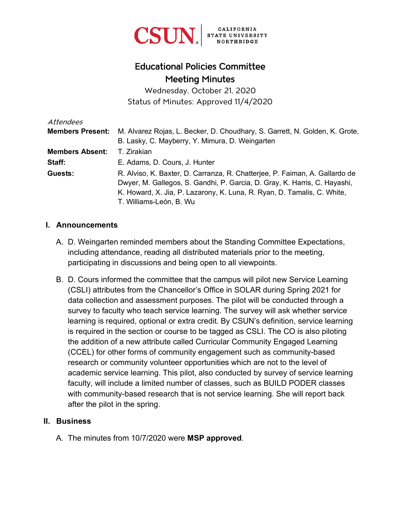

# Educational Policies Committee Meeting Minutes

Wednesday, October 21, 2020 Status of Minutes: Approved 11/4/2020

| Attendees               |                                                                             |
|-------------------------|-----------------------------------------------------------------------------|
| <b>Members Present:</b> | M. Alvarez Rojas, L. Becker, D. Choudhary, S. Garrett, N. Golden, K. Grote, |
|                         | B. Lasky, C. Mayberry, Y. Mimura, D. Weingarten                             |
| <b>Members Absent:</b>  | T. Zirakian                                                                 |
| Staff:                  | E. Adams, D. Cours, J. Hunter                                               |
| Guests:                 | R. Alviso, K. Baxter, D. Carranza, R. Chatterjee, P. Faiman, A. Gallardo de |
|                         | Dwyer, M. Gallegos, S. Gandhi, P. Garcia, D. Gray, K. Harris, C. Hayashi,   |
|                         | K. Howard, X. Jia, P. Lazarony, K. Luna, R. Ryan, D. Tamalis, C. White,     |
|                         | T. Williams-León, B. Wu                                                     |

#### **I. Announcements**

- A. D. Weingarten reminded members about the Standing Committee Expectations, including attendance, reading all distributed materials prior to the meeting, participating in discussions and being open to all viewpoints.
- B. D. Cours informed the committee that the campus will pilot new Service Learning (CSLI) attributes from the Chancellor's Office in SOLAR during Spring 2021 for data collection and assessment purposes. The pilot will be conducted through a survey to faculty who teach service learning. The survey will ask whether service learning is required, optional or extra credit. By CSUN's definition, service learning is required in the section or course to be tagged as CSLI. The CO is also piloting the addition of a new attribute called Curricular Community Engaged Learning (CCEL) for other forms of community engagement such as community-based research or community volunteer opportunities which are not to the level of academic service learning. This pilot, also conducted by survey of service learning faculty, will include a limited number of classes, such as BUILD PODER classes with community-based research that is not service learning. She will report back after the pilot in the spring.

#### **II. Business**

A. The minutes from 10/7/2020 were **MSP approved**.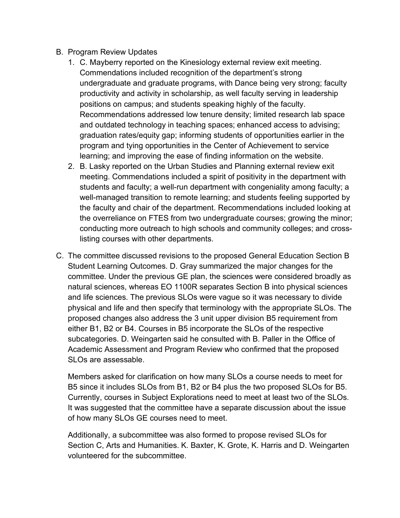- B. Program Review Updates
	- 1. C. Mayberry reported on the Kinesiology external review exit meeting. Commendations included recognition of the department's strong undergraduate and graduate programs, with Dance being very strong; faculty productivity and activity in scholarship, as well faculty serving in leadership positions on campus; and students speaking highly of the faculty. Recommendations addressed low tenure density; limited research lab space and outdated technology in teaching spaces; enhanced access to advising; graduation rates/equity gap; informing students of opportunities earlier in the program and tying opportunities in the Center of Achievement to service learning; and improving the ease of finding information on the website.
	- 2. B. Lasky reported on the Urban Studies and Planning external review exit meeting. Commendations included a spirit of positivity in the department with students and faculty; a well-run department with congeniality among faculty; a well-managed transition to remote learning; and students feeling supported by the faculty and chair of the department. Recommendations included looking at the overreliance on FTES from two undergraduate courses; growing the minor; conducting more outreach to high schools and community colleges; and crosslisting courses with other departments.
- C. The committee discussed revisions to the proposed General Education Section B Student Learning Outcomes. D. Gray summarized the major changes for the committee. Under the previous GE plan, the sciences were considered broadly as natural sciences, whereas EO 1100R separates Section B into physical sciences and life sciences. The previous SLOs were vague so it was necessary to divide physical and life and then specify that terminology with the appropriate SLOs. The proposed changes also address the 3 unit upper division B5 requirement from either B1, B2 or B4. Courses in B5 incorporate the SLOs of the respective subcategories. D. Weingarten said he consulted with B. Paller in the Office of Academic Assessment and Program Review who confirmed that the proposed SLOs are assessable.

Members asked for clarification on how many SLOs a course needs to meet for B5 since it includes SLOs from B1, B2 or B4 plus the two proposed SLOs for B5. Currently, courses in Subject Explorations need to meet at least two of the SLOs. It was suggested that the committee have a separate discussion about the issue of how many SLOs GE courses need to meet.

Additionally, a subcommittee was also formed to propose revised SLOs for Section C, Arts and Humanities. K. Baxter, K. Grote, K. Harris and D. Weingarten volunteered for the subcommittee.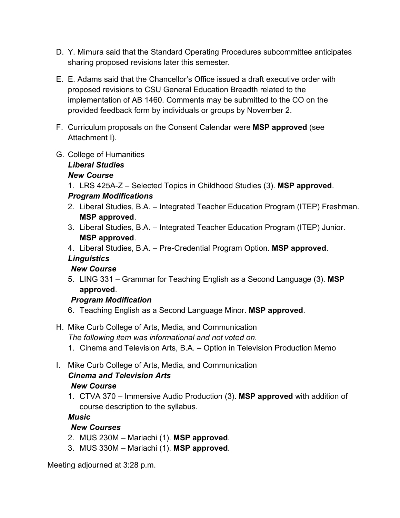- D. Y. Mimura said that the Standard Operating Procedures subcommittee anticipates sharing proposed revisions later this semester.
- E. E. Adams said that the Chancellor's Office issued a draft executive order with proposed revisions to CSU General Education Breadth related to the implementation of AB 1460. Comments may be submitted to the CO on the provided feedback form by individuals or groups by November 2.
- F. Curriculum proposals on the Consent Calendar were **MSP approved** (see Attachment I).
- G. College of Humanities

### *Liberal Studies*

#### *New Course*

1. LRS 425A-Z – Selected Topics in Childhood Studies (3). **MSP approved**.

#### *Program Modifications*

- 2. Liberal Studies, B.A. Integrated Teacher Education Program (ITEP) Freshman. **MSP approved**.
- 3. Liberal Studies, B.A. Integrated Teacher Education Program (ITEP) Junior. **MSP approved**.
- 4. Liberal Studies, B.A. Pre-Credential Program Option. **MSP approved**.

# *Linguistics*

### *New Course*

5. LING 331 – Grammar for Teaching English as a Second Language (3). **MSP approved**.

### *Program Modification*

- 6. Teaching English as a Second Language Minor. **MSP approved**.
- H. Mike Curb College of Arts, Media, and Communication *The following item was informational and not voted on.*
	- 1. Cinema and Television Arts, B.A. Option in Television Production Memo
- I. Mike Curb College of Arts, Media, and Communication *Cinema and Television Arts New Course*
	- 1. CTVA 370 Immersive Audio Production (3). **MSP approved** with addition of course description to the syllabus.

### *Music*

### *New Courses*

- 2. MUS 230M Mariachi (1). **MSP approved**.
- 3. MUS 330M Mariachi (1). **MSP approved**.

Meeting adjourned at 3:28 p.m.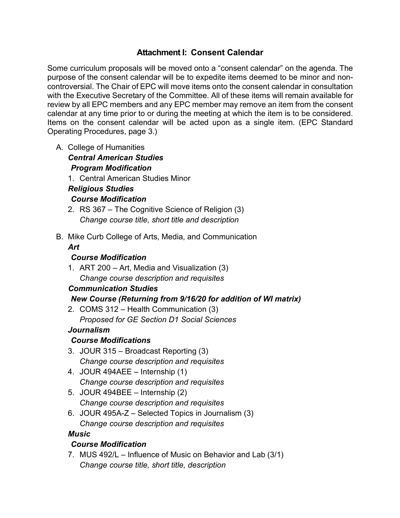### **Attachment I: Consent Calendar**

Some curriculum proposals will be moved onto a "consent calendar" on the agenda. The purpose of the consent calendar will be to expedite items deemed to be minor and noncontroversial. The Chair of EPC will move items onto the consent calendar in consultation with the Executive Secretary of the Committee. All of these items will remain available for review by all EPC members and any EPC member may remove an item from the consent calendar at any time prior to or during the meeting at which the item is to be considered. Items on the consent calendar will be acted upon as a single item. (EPC Standard Operating Procedures, page 3.)

A. College of Humanities

*Central American Studies Program Modification*

1. Central American Studies Minor

### *Religious Studies*

#### *Course Modification*

- 2. RS 367 The Cognitive Science of Religion (3) *Change course title, short title and description*
- B. Mike Curb College of Arts, Media, and Communication

### *Art*

#### *Course Modification*

1. ART 200 – Art, Media and Visualization (3) *Change course description and requisites*

#### *Communication Studies*

### *New Course (Returning from 9/16/20 for addition of WI matrix)*

2. COMS 312 – Health Communication (3) *Proposed for GE Section D1 Social Sciences*

#### *Journalism*

### *Course Modifications*

- 3. JOUR 315 Broadcast Reporting (3) *Change course description and requisites*
- 4. JOUR 494AEE Internship (1) *Change course description and requisites*
- 5. JOUR 494BEE Internship (2) *Change course description and requisites*
- 6. JOUR 495A-Z Selected Topics in Journalism (3) *Change course description and requisites*

#### *Music*

### *Course Modification*

7. MUS 492/L – Influence of Music on Behavior and Lab (3/1) *Change course title, short title, description*